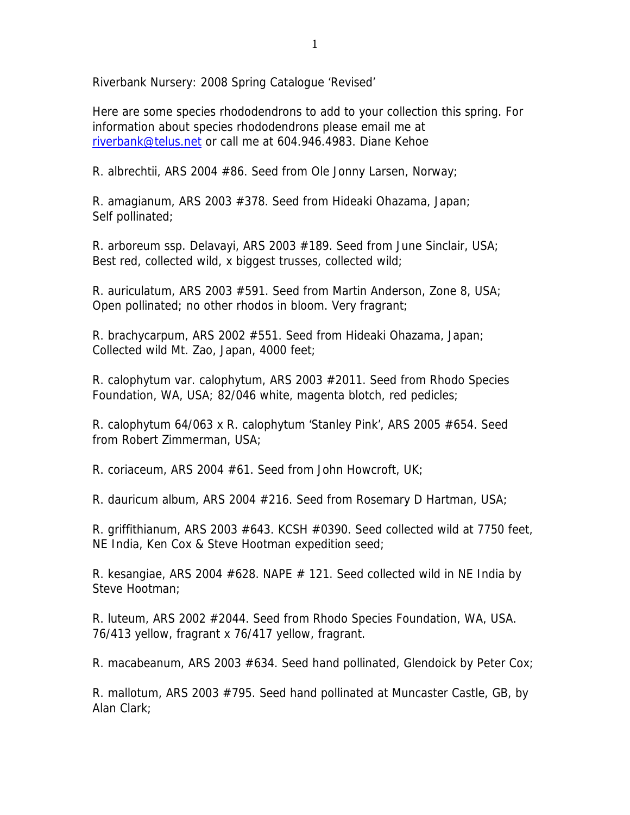Riverbank Nursery: 2008 Spring Catalogue 'Revised'

Here are some species rhododendrons to add to your collection this spring. For information about species rhododendrons please email me at riverbank@telus.net or call me at 604.946.4983. Diane Kehoe

R. albrechtii, ARS 2004 #86. Seed from Ole Jonny Larsen, Norway;

R. amagianum, ARS 2003 #378. Seed from Hideaki Ohazama, Japan; Self pollinated;

R. arboreum ssp. Delavayi, ARS 2003 #189. Seed from June Sinclair, USA; Best red, collected wild, x biggest trusses, collected wild;

R. auriculatum, ARS 2003 #591. Seed from Martin Anderson, Zone 8, USA; Open pollinated; no other rhodos in bloom. Very fragrant;

R. brachycarpum, ARS 2002 #551. Seed from Hideaki Ohazama, Japan; Collected wild Mt. Zao, Japan, 4000 feet;

R. calophytum var. calophytum, ARS 2003 #2011. Seed from Rhodo Species Foundation, WA, USA; 82/046 white, magenta blotch, red pedicles;

R. calophytum 64/063 x R. calophytum 'Stanley Pink', ARS 2005 #654. Seed from Robert Zimmerman, USA;

R. coriaceum, ARS 2004 #61. Seed from John Howcroft, UK;

R. dauricum album, ARS 2004 #216. Seed from Rosemary D Hartman, USA;

R. griffithianum, ARS 2003 #643. KCSH #0390. Seed collected wild at 7750 feet, NE India, Ken Cox & Steve Hootman expedition seed;

R. kesangiae, ARS 2004  $#628$ . NAPE  $#121$ . Seed collected wild in NE India by Steve Hootman;

R. luteum, ARS 2002 #2044. Seed from Rhodo Species Foundation, WA, USA. 76/413 yellow, fragrant x 76/417 yellow, fragrant.

R. macabeanum, ARS 2003 #634. Seed hand pollinated, Glendoick by Peter Cox;

R. mallotum, ARS 2003 #795. Seed hand pollinated at Muncaster Castle, GB, by Alan Clark;